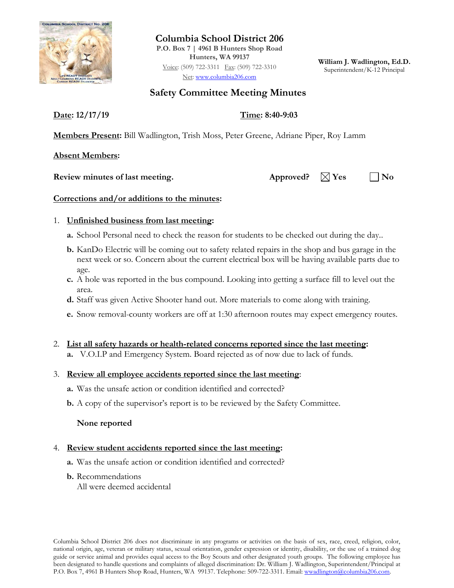

**Columbia School District 206 P.O. Box 7 | 4961 B Hunters Shop Road Hunters, WA 99137** Voice: (509) 722-3311 Fax: (509) 722-3310 Net: [www.columbia206.com](http://www.columbia206.com/)

**William J. Wadlington, Ed.D.** Superintendent/K-12 Principal

# **Safety Committee Meeting Minutes**

**Date: 12/17/19 Time: 8:40-9:03**

**Members Present:** Bill Wadlington, Trish Moss, Peter Greene, Adriane Piper, Roy Lamm

**Absent Members:**

**Review minutes of last meeting.** Approved?  $\boxtimes$  Yes  $\Box$  No

# **Corrections and/or additions to the minutes:**

## 1. **Unfinished business from last meeting:**

- **a.** School Personal need to check the reason for students to be checked out during the day..
- **b.** KanDo Electric will be coming out to safety related repairs in the shop and bus garage in the next week or so. Concern about the current electrical box will be having available parts due to age.
- **c.** A hole was reported in the bus compound. Looking into getting a surface fill to level out the area.
- **d.** Staff was given Active Shooter hand out. More materials to come along with training.
- **e.** Snow removal-county workers are off at 1:30 afternoon routes may expect emergency routes.

#### 2. **List all safety hazards or health-related concerns reported since the last meeting:**

**a.** V.O.I.P and Emergency System. Board rejected as of now due to lack of funds.

#### 3. **Review all employee accidents reported since the last meeting**:

- **a.** Was the unsafe action or condition identified and corrected?
- **b.** A copy of the supervisor's report is to be reviewed by the Safety Committee.

#### **None reported**

#### 4. **Review student accidents reported since the last meeting:**

- **a.** Was the unsafe action or condition identified and corrected?
- **b.** Recommendations
	- All were deemed accidental